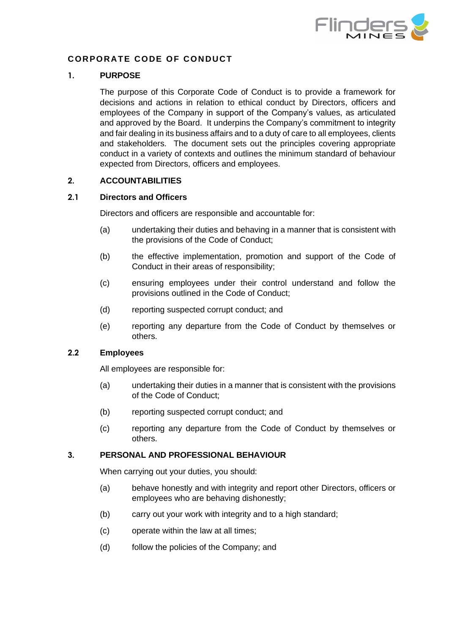

# **CORPORATE CODE OF CONDUCT**

#### **1. PURPOSE**

The purpose of this Corporate Code of Conduct is to provide a framework for decisions and actions in relation to ethical conduct by Directors, officers and employees of the Company in support of the Company's values, as articulated and approved by the Board. It underpins the Company's commitment to integrity and fair dealing in its business affairs and to a duty of care to all employees, clients and stakeholders. The document sets out the principles covering appropriate conduct in a variety of contexts and outlines the minimum standard of behaviour expected from Directors, officers and employees.

## **2. ACCOUNTABILITIES**

#### **2.1 Directors and Officers**

Directors and officers are responsible and accountable for:

- (a) undertaking their duties and behaving in a manner that is consistent with the provisions of the Code of Conduct;
- (b) the effective implementation, promotion and support of the Code of Conduct in their areas of responsibility;
- (c) ensuring employees under their control understand and follow the provisions outlined in the Code of Conduct;
- (d) reporting suspected corrupt conduct; and
- (e) reporting any departure from the Code of Conduct by themselves or others.

## **2.2 Employees**

All employees are responsible for:

- (a) undertaking their duties in a manner that is consistent with the provisions of the Code of Conduct;
- (b) reporting suspected corrupt conduct; and
- (c) reporting any departure from the Code of Conduct by themselves or others.

#### **3. PERSONAL AND PROFESSIONAL BEHAVIOUR**

When carrying out your duties, you should:

- (a) behave honestly and with integrity and report other Directors, officers or employees who are behaving dishonestly;
- (b) carry out your work with integrity and to a high standard;
- (c) operate within the law at all times;
- (d) follow the policies of the Company; and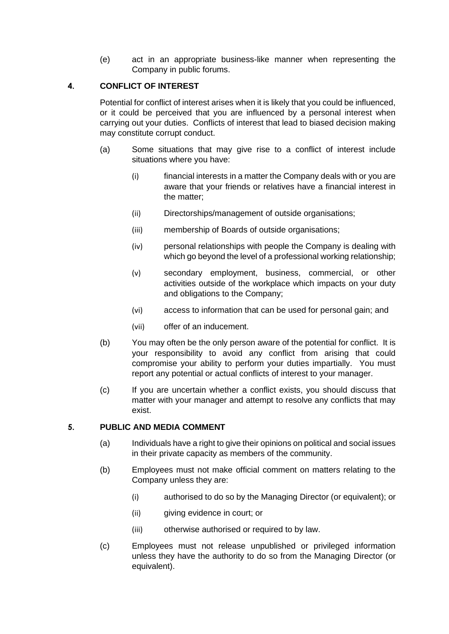(e) act in an appropriate business-like manner when representing the Company in public forums.

# **4. CONFLICT OF INTEREST**

Potential for conflict of interest arises when it is likely that you could be influenced, or it could be perceived that you are influenced by a personal interest when carrying out your duties. Conflicts of interest that lead to biased decision making may constitute corrupt conduct.

- (a) Some situations that may give rise to a conflict of interest include situations where you have:
	- (i) financial interests in a matter the Company deals with or you are aware that your friends or relatives have a financial interest in the matter;
	- (ii) Directorships/management of outside organisations;
	- (iii) membership of Boards of outside organisations;
	- (iv) personal relationships with people the Company is dealing with which go beyond the level of a professional working relationship;
	- (v) secondary employment, business, commercial, or other activities outside of the workplace which impacts on your duty and obligations to the Company;
	- (vi) access to information that can be used for personal gain; and
	- (vii) offer of an inducement.
- (b) You may often be the only person aware of the potential for conflict. It is your responsibility to avoid any conflict from arising that could compromise your ability to perform your duties impartially. You must report any potential or actual conflicts of interest to your manager.
- (c) If you are uncertain whether a conflict exists, you should discuss that matter with your manager and attempt to resolve any conflicts that may exist.

# **5. PUBLIC AND MEDIA COMMENT**

- (a) Individuals have a right to give their opinions on political and social issues in their private capacity as members of the community.
- (b) Employees must not make official comment on matters relating to the Company unless they are:
	- (i) authorised to do so by the Managing Director (or equivalent); or
	- (ii) giving evidence in court; or
	- (iii) otherwise authorised or required to by law.
- (c) Employees must not release unpublished or privileged information unless they have the authority to do so from the Managing Director (or equivalent).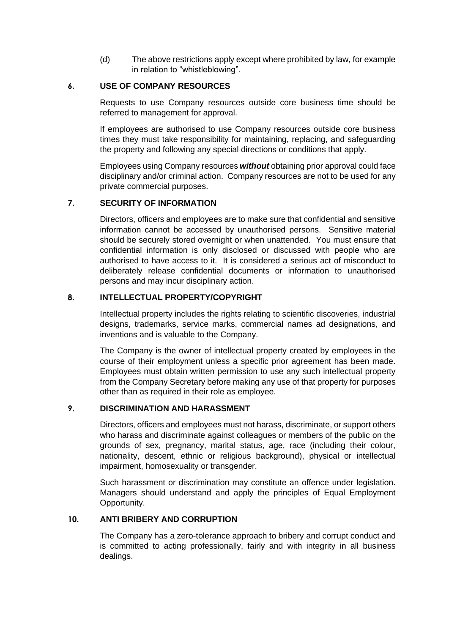(d) The above restrictions apply except where prohibited by law, for example in relation to "whistleblowing".

# **6. USE OF COMPANY RESOURCES**

Requests to use Company resources outside core business time should be referred to management for approval.

If employees are authorised to use Company resources outside core business times they must take responsibility for maintaining, replacing, and safeguarding the property and following any special directions or conditions that apply.

Employees using Company resources *without* obtaining prior approval could face disciplinary and/or criminal action. Company resources are not to be used for any private commercial purposes.

# **7. SECURITY OF INFORMATION**

Directors, officers and employees are to make sure that confidential and sensitive information cannot be accessed by unauthorised persons. Sensitive material should be securely stored overnight or when unattended. You must ensure that confidential information is only disclosed or discussed with people who are authorised to have access to it. It is considered a serious act of misconduct to deliberately release confidential documents or information to unauthorised persons and may incur disciplinary action.

# **8. INTELLECTUAL PROPERTY/COPYRIGHT**

Intellectual property includes the rights relating to scientific discoveries, industrial designs, trademarks, service marks, commercial names ad designations, and inventions and is valuable to the Company.

The Company is the owner of intellectual property created by employees in the course of their employment unless a specific prior agreement has been made. Employees must obtain written permission to use any such intellectual property from the Company Secretary before making any use of that property for purposes other than as required in their role as employee.

## **9. DISCRIMINATION AND HARASSMENT**

Directors, officers and employees must not harass, discriminate, or support others who harass and discriminate against colleagues or members of the public on the grounds of sex, pregnancy, marital status, age, race (including their colour, nationality, descent, ethnic or religious background), physical or intellectual impairment, homosexuality or transgender.

Such harassment or discrimination may constitute an offence under legislation. Managers should understand and apply the principles of Equal Employment Opportunity.

# **10. ANTI BRIBERY AND CORRUPTION**

The Company has a zero-tolerance approach to bribery and corrupt conduct and is committed to acting professionally, fairly and with integrity in all business dealings.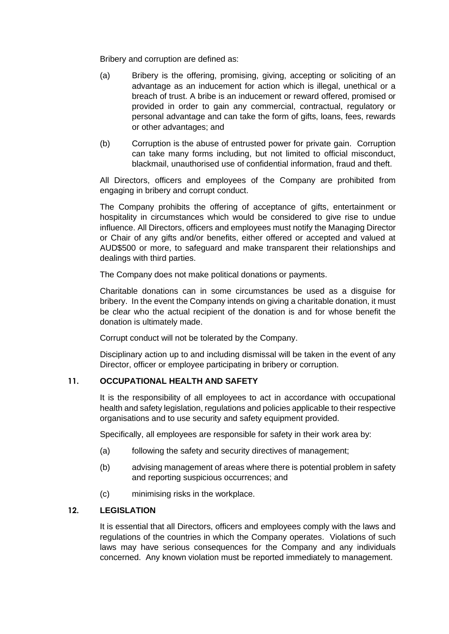Bribery and corruption are defined as:

- (a) Bribery is the offering, promising, giving, accepting or soliciting of an advantage as an inducement for action which is illegal, unethical or a breach of trust. A bribe is an inducement or reward offered, promised or provided in order to gain any commercial, contractual, regulatory or personal advantage and can take the form of gifts, loans, fees, rewards or other advantages; and
- (b) Corruption is the abuse of entrusted power for private gain. Corruption can take many forms including, but not limited to official misconduct, blackmail, unauthorised use of confidential information, fraud and theft.

All Directors, officers and employees of the Company are prohibited from engaging in bribery and corrupt conduct.

The Company prohibits the offering of acceptance of gifts, entertainment or hospitality in circumstances which would be considered to give rise to undue influence. All Directors, officers and employees must notify the Managing Director or Chair of any gifts and/or benefits, either offered or accepted and valued at AUD\$500 or more, to safeguard and make transparent their relationships and dealings with third parties.

The Company does not make political donations or payments.

Charitable donations can in some circumstances be used as a disguise for bribery. In the event the Company intends on giving a charitable donation, it must be clear who the actual recipient of the donation is and for whose benefit the donation is ultimately made.

Corrupt conduct will not be tolerated by the Company.

Disciplinary action up to and including dismissal will be taken in the event of any Director, officer or employee participating in bribery or corruption.

# **11. OCCUPATIONAL HEALTH AND SAFETY**

It is the responsibility of all employees to act in accordance with occupational health and safety legislation, regulations and policies applicable to their respective organisations and to use security and safety equipment provided.

Specifically, all employees are responsible for safety in their work area by:

- (a) following the safety and security directives of management;
- (b) advising management of areas where there is potential problem in safety and reporting suspicious occurrences; and
- (c) minimising risks in the workplace.

# **12. LEGISLATION**

It is essential that all Directors, officers and employees comply with the laws and regulations of the countries in which the Company operates. Violations of such laws may have serious consequences for the Company and any individuals concerned. Any known violation must be reported immediately to management.